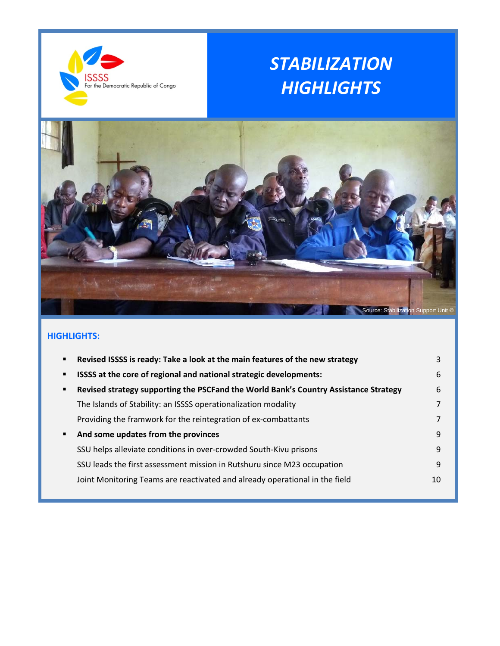

# *STABILIZATION HIGHLIGHTS*



# **HIGHLIGHTS:**

| ٠ | Revised ISSSS is ready: Take a look at the main features of the new strategy         | 3  |
|---|--------------------------------------------------------------------------------------|----|
| ٠ | ISSSS at the core of regional and national strategic developments:                   | 6  |
| ٠ | Revised strategy supporting the PSCFand the World Bank's Country Assistance Strategy | 6  |
|   | The Islands of Stability: an ISSSS operationalization modality                       |    |
|   | Providing the framwork for the reintegration of ex-combattants                       |    |
| ٠ | And some updates from the provinces                                                  | 9  |
|   | SSU helps alleviate conditions in over-crowded South-Kivu prisons                    | 9  |
|   | SSU leads the first assessment mission in Rutshuru since M23 occupation              | 9  |
|   | Joint Monitoring Teams are reactivated and already operational in the field          | 10 |
|   |                                                                                      |    |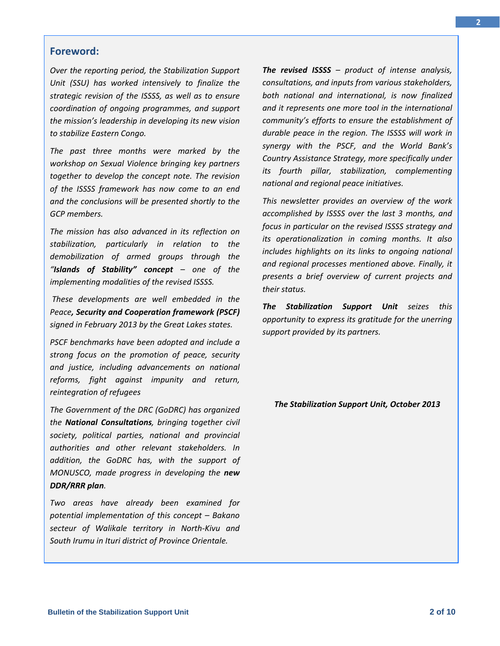#### **Foreword:**

*Over the reporting period, the Stabilization Support Unit (SSU) has worked intensively to finalize the strategic revision of the ISSSS, as well as to ensure coordination of ongoing programmes, and support the mission's leadership in developing its new vision to stabilize Eastern Congo.* 

*The past three months were marked by the workshop on Sexual Violence bringing key partners together to develop the concept note. The revision of the ISSSS framework has now come to an end and the conclusions will be presented shortly to the GCP members.*

*The mission has also advanced in its reflection on stabilization, particularly in relation to the demobilization of armed groups through the "Islands of Stability" concept – one of the implementing modalities of the revised ISSSS.*

*These developments are well embedded in the Peace, Security and Cooperation framework (PSCF) signed in February 2013 by the Great Lakes states.* 

*PSCF benchmarks have been adopted and include a strong focus on the promotion of peace, security and justice, including advancements on national reforms, fight against impunity and return, reintegration of refugees*

*The Government of the DRC (GoDRC) has organized the National Consultations, bringing together civil society, political parties, national and provincial authorities and other relevant stakeholders. In addition, the GoDRC has, with the support of MONUSCO, made progress in developing the new DDR/RRR plan.* 

*Two areas have already been examined for potential implementation of this concept – Bakano secteur of Walikale territory in North‐Kivu and South Irumu in Ituri district of Province Orientale.*

*The revised ISSSS – product of intense analysis, consultations, and inputs from various stakeholders, both national and international, is now finalized and it represents one more tool in the international community's efforts to ensure the establishment of durable peace in the region. The ISSSS will work in synergy with the PSCF, and the World Bank's Country Assistance Strategy, more specifically under its fourth pillar, stabilization, complementing national and regional peace initiatives.* 

*This newsletter provides an overview of the work accomplished by ISSSS over the last 3 months, and focus in particular on the revised ISSSS strategy and its operationalization in coming months. It also includes highlights on its links to ongoing national and regional processes mentioned above. Finally, it presents a brief overview of current projects and their status.*

*The Stabilization Support Unit seizes this opportunity to express its gratitude for the unerring support provided by its partners.*

*The Stabilization Support Unit, October 2013*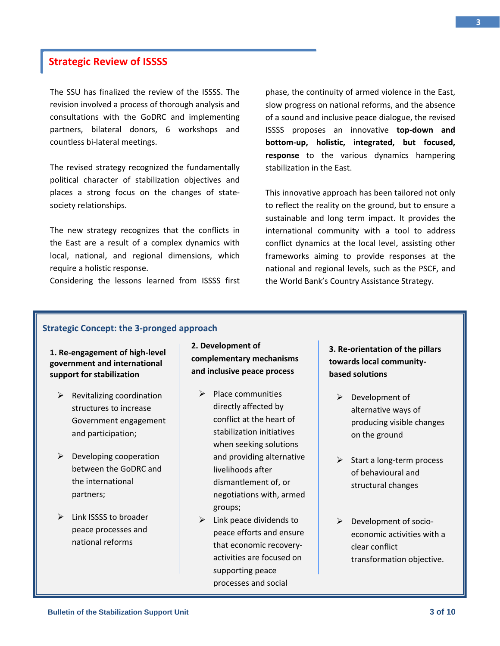# **Strategic Review of ISSSS**

The SSU has finalized the review of the ISSSS. The revision involved a process of thorough analysis and consultations with the GoDRC and implementing partners, bilateral donors, 6 workshops and countless bi‐lateral meetings.

The revised strategy recognized the fundamentally political character of stabilization objectives and places a strong focus on the changes of state‐ society relationships.

The new strategy recognizes that the conflicts in the East are a result of a complex dynamics with local, national, and regional dimensions, which require a holistic response.

Considering the lessons learned from ISSSS first

phase, the continuity of armed violence in the East, slow progress on national reforms, and the absence of a sound and inclusive peace dialogue, the revised ISSSS proposes an innovative **top‐down and bottom‐up, holistic, integrated, but focused, response** to the various dynamics hampering stabilization in the East.

This innovative approach has been tailored not only to reflect the reality on the ground, but to ensure a sustainable and long term impact. It provides the international community with a tool to address conflict dynamics at the local level, assisting other frameworks aiming to provide responses at the national and regional levels, such as the PSCF, and the World Bank's Country Assistance Strategy.

#### **Strategic Concept: the 3‐pronged approach**

#### **1. Re‐engagement of high‐level government and international support for stabilization**

- $\triangleright$  Revitalizing coordination structures to increase Government engagement and participation;
- $\triangleright$  Developing cooperation between the GoDRC and the international partners;
- $\triangleright$  Link ISSSS to broader peace processes and national reforms

**2. Development of complementary mechanisms and inclusive peace process**

- $\triangleright$  Place communities directly affected by conflict at the heart of stabilization initiatives when seeking solutions and providing alternative livelihoods after dismantlement of, or negotiations with, armed groups;
- $\triangleright$  Link peace dividends to peace efforts and ensure that economic recovery‐ activities are focused on supporting peace processes and social

# **3. Re‐orientation of the pillars towards local community‐ based solutions**

- $\triangleright$  Development of alternative ways of producing visible changes on the ground
- ¾ Start a long‐term process of behavioural and structural changes
- ¾ Development of socio‐ economic activities with a clear conflict transformation objective.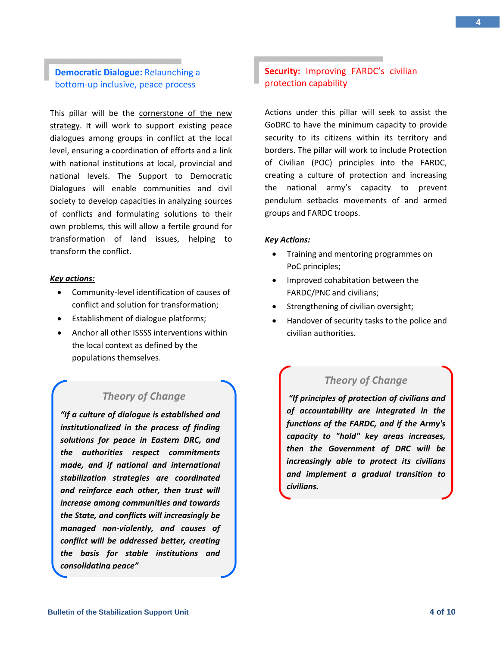### **Democratic Dialogue:** Relaunching a bottom‐up inclusive, peace process

This pillar will be the cornerstone of the new strategy. It will work to support existing peace dialogues among groups in conflict at the local level, ensuring a coordination of efforts and a link with national institutions at local, provincial and national levels. The Support to Democratic Dialogues will enable communities and civil society to develop capacities in analyzing sources of conflicts and formulating solutions to their own problems, this will allow a fertile ground for transformation of land issues, helping to transform the conflict.

#### *Key actions:*

- Community‐level identification of causes of conflict and solution for transformation;
- Establishment of dialogue platforms;
- Anchor all other ISSSS interventions within the local context as defined by the populations themselves.

# *Theory of Change*

*"If a culture of dialogue is established and institutionalized in the process of finding solutions for peace in Eastern DRC, and the authorities respect commitments made, and if national and international stabilization strategies are coordinated and reinforce each other, then trust will increase among communities and towards the State, and conflicts will increasingly be managed non‐violently, and causes of conflict will be addressed better, creating the basis for stable institutions and consolidating peace"*

# **Security:** Improving FARDC's civilian protection capability

Actions under this pillar will seek to assist the GoDRC to have the minimum capacity to provide security to its citizens within its territory and borders. The pillar will work to include Protection of Civilian (POC) principles into the FARDC, creating a culture of protection and increasing the national army's capacity to prevent pendulum setbacks movements of and armed groups and FARDC troops.

#### *Key Actions:*

- Training and mentoring programmes on PoC principles;
- Improved cohabitation between the FARDC/PNC and civilians;
- Strengthening of civilian oversight;
- Handover of security tasks to the police and civilian authorities.

# *Theory of Change*

*"If principles of protection of civilians and of accountability are integrated in the functions of the FARDC, and if the Army's capacity to "hold" key areas increases, then the Government of DRC will be increasingly able to protect its civilians and implement a gradual transition to civilians.*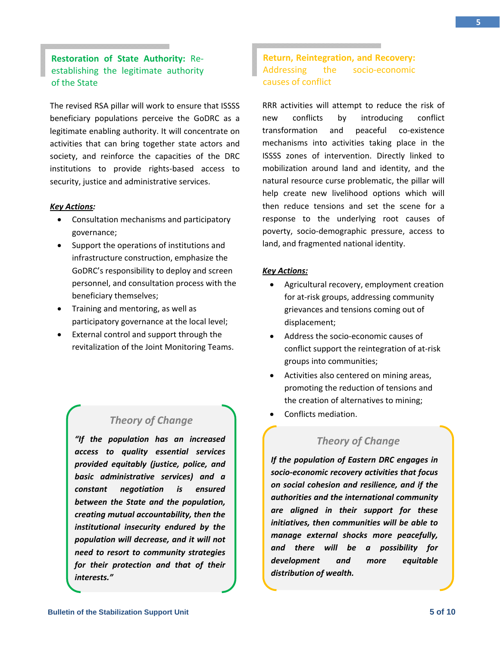# **Restoration of State Authority:** Re‐ establishing the legitimate authority of the State

The revised RSA pillar will work to ensure that ISSSS beneficiary populations perceive the GoDRC as a legitimate enabling authority. It will concentrate on activities that can bring together state actors and society, and reinforce the capacities of the DRC institutions to provide rights‐based access to security, justice and administrative services.

#### *Key Actions:*

- Consultation mechanisms and participatory governance;
- Support the operations of institutions and infrastructure construction, emphasize the GoDRC's responsibility to deploy and screen personnel, and consultation process with the beneficiary themselves;
- Training and mentoring, as well as participatory governance at the local level;
- External control and support through the revitalization of the Joint Monitoring Teams.

# *Theory of Change*

*"If the population has an increased access to quality essential services provided equitably (justice, police, and basic administrative services) and a constant negotiation is ensured between the State and the population, creating mutual accountability, then the institutional insecurity endured by the population will decrease, and it will not need to resort to community strategies for their protection and that of their interests."*

# **Return, Reintegration, and Recovery:** Addressing the socio‐economic causes of conflict

RRR activities will attempt to reduce the risk of new conflicts by introducing conflict transformation and peaceful co-existence mechanisms into activities taking place in the ISSSS zones of intervention. Directly linked to mobilization around land and identity, and the natural resource curse problematic, the pillar will help create new livelihood options which will then reduce tensions and set the scene for a response to the underlying root causes of poverty, socio‐demographic pressure, access to land, and fragmented national identity.

#### *Key Actions:*

- Agricultural recovery, employment creation for at-risk groups, addressing community grievances and tensions coming out of displacement;
- Address the socio‐economic causes of conflict support the reintegration of at‐risk groups into communities;
- Activities also centered on mining areas, promoting the reduction of tensions and the creation of alternatives to mining;
- Conflicts mediation.

# *Theory of Change*

*If the population of Eastern DRC engages in socio‐economic recovery activities that focus on social cohesion and resilience, and if the authorities and the international community are aligned in their support for these initiatives, then communities will be able to manage external shocks more peacefully, and there will be a possibility for development and more equitable distribution of wealth.*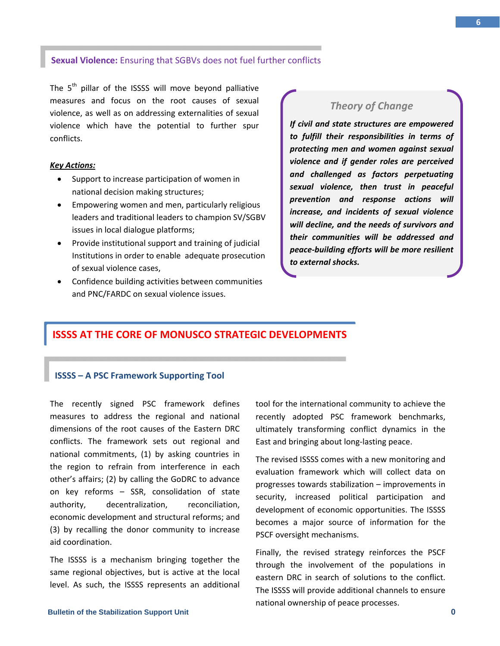#### **Sexual Violence:** Ensuring that SGBVs does not fuel further conflicts

The  $5<sup>th</sup>$  pillar of the ISSSS will move beyond palliative measures and focus on the root causes of sexual violence, as well as on addressing externalities of sexual violence which have the potential to further spur conflicts.

#### *Key Actions:*

- Support to increase participation of women in national decision making structures;
- Empowering women and men, particularly religious leaders and traditional leaders to champion SV/SGBV issues in local dialogue platforms;
- Provide institutional support and training of judicial Institutions in order to enable adequate prosecution of sexual violence cases,
- Confidence building activities between communities and PNC/FARDC on sexual violence issues.

## *Theory of Change*

*If civil and state structures are empowered to fulfill their responsibilities in terms of protecting men and women against sexual violence and if gender roles are perceived and challenged as factors perpetuating sexual violence, then trust in peaceful prevention and response actions will increase, and incidents of sexual violence will decline, and the needs of survivors and their communities will be addressed and peace‐building efforts will be more resilient to external shocks.*

# **ISSSS AT THE CORE OF MONUSCO STRATEGIC DEVELOPMENTS**

#### **ISSSS – A PSC Framework Supporting Tool**

The recently signed PSC framework defines measures to address the regional and national dimensions of the root causes of the Eastern DRC conflicts. The framework sets out regional and national commitments, (1) by asking countries in the region to refrain from interference in each other's affairs; (2) by calling the GoDRC to advance on key reforms – SSR, consolidation of state authority, decentralization, reconciliation, economic development and structural reforms; and (3) by recalling the donor community to increase aid coordination.

The ISSSS is a mechanism bringing together the same regional objectives, but is active at the local level. As such, the ISSSS represents an additional tool for the international community to achieve the recently adopted PSC framework benchmarks, ultimately transforming conflict dynamics in the East and bringing about long‐lasting peace.

The revised ISSSS comes with a new monitoring and evaluation framework which will collect data on progresses towards stabilization – improvements in security, increased political participation and development of economic opportunities. The ISSSS becomes a major source of information for the PSCF oversight mechanisms.

Finally, the revised strategy reinforces the PSCF through the involvement of the populations in eastern DRC in search of solutions to the conflict. The ISSSS will provide additional channels to ensure national ownership of peace processes.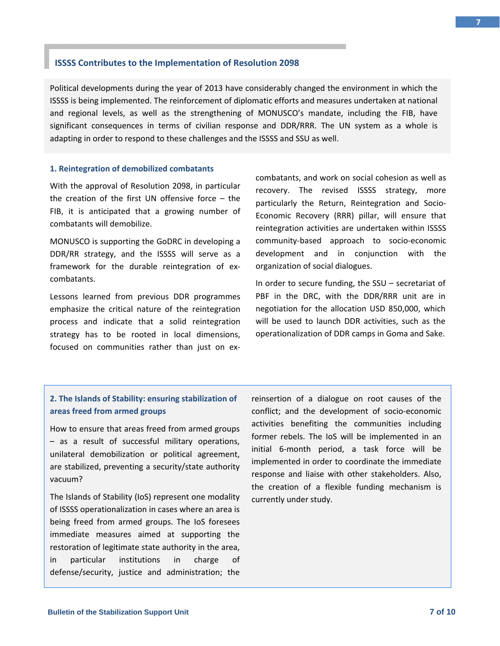#### **ISSSS Contributes to the Implementation of Resolution 2098**

Political developments during the year of 2013 have considerably changed the environment in which the ISSSS is being implemented. The reinforcement of diplomatic efforts and measures undertaken at national and regional levels, as well as the strengthening of MONUSCO's mandate, including the FIB, have significant consequences in terms of civilian response and DDR/RRR. The UN system as a whole is adapting in order to respond to these challenges and the ISSSS and SSU as well.

#### **1. Reintegration of demobilized combatants**

With the approval of Resolution 2098, in particular the creation of the first UN offensive force – the FIB, it is anticipated that a growing number of combatants will demobilize.

MONUSCO is supporting the GoDRC in developing a DDR/RR strategy, and the ISSSS will serve as a framework for the durable reintegration of ex‐ combatants.

Lessons learned from previous DDR programmes emphasize the critical nature of the reintegration process and indicate that a solid reintegration strategy has to be rooted in local dimensions, focused on communities rather than just on ex‐

combatants, and work on social cohesion as well as recovery. The revised ISSSS strategy, more particularly the Return, Reintegration and Socio‐ Economic Recovery (RRR) pillar, will ensure that reintegration activities are undertaken within ISSSS community‐based approach to socio‐economic development and in conjunction with the organization of social dialogues.

In order to secure funding, the SSU – secretariat of PBF in the DRC, with the DDR/RRR unit are in negotiation for the allocation USD 850,000, which will be used to launch DDR activities, such as the operationalization of DDR camps in Goma and Sake.

# **2. The Islands of Stability: ensuring stabilization of areas freed from armed groups**

How to ensure that areas freed from armed groups – as a result of successful military operations, unilateral demobilization or political agreement, are stabilized, preventing a security/state authority vacuum?

The Islands of Stability (IoS) represent one modality of ISSSS operationalization in cases where an area is being freed from armed groups. The IoS foresees immediate measures aimed at supporting the restoration of legitimate state authority in the area, in particular institutions in charge of defense/security, justice and administration; the

reinsertion of a dialogue on root causes of the conflict; and the development of socio‐economic activities benefiting the communities including former rebels. The IoS will be implemented in an initial 6‐month period, a task force will be implemented in order to coordinate the immediate response and liaise with other stakeholders. Also, the creation of a flexible funding mechanism is currently under study.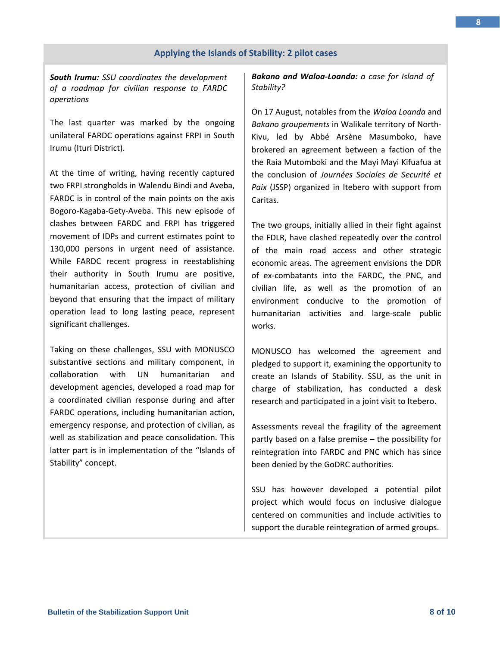#### **Applying the Islands of Stability: 2 pilot cases**

*South Irumu: SSU coordinates the development of a roadmap for civilian response to FARDC operations*

The last quarter was marked by the ongoing unilateral FARDC operations against FRPI in South Irumu (Ituri District).

At the time of writing, having recently captured two FRPI strongholds in Walendu Bindi and Aveba, FARDC is in control of the main points on the axis Bogoro‐Kagaba‐Gety‐Aveba. This new episode of clashes between FARDC and FRPI has triggered movement of IDPs and current estimates point to 130,000 persons in urgent need of assistance. While FARDC recent progress in reestablishing their authority in South Irumu are positive, humanitarian access, protection of civilian and beyond that ensuring that the impact of military operation lead to long lasting peace, represent significant challenges.

Taking on these challenges, SSU with MONUSCO substantive sections and military component, in collaboration with UN humanitarian and development agencies, developed a road map for a coordinated civilian response during and after FARDC operations, including humanitarian action, emergency response, and protection of civilian, as well as stabilization and peace consolidation. This latter part is in implementation of the "Islands of Stability" concept.

*Bakano and Waloa‐Loanda: a case for Island of Stability?*

On 17 August, notables from the *Waloa Loanda* and *Bakano groupements* in Walikale territory of North‐ Kivu, led by Abbé Arsène Masumboko, have brokered an agreement between a faction of the the Raia Mutomboki and the Mayi Mayi Kifuafua at the conclusion of *Journées Sociales de Securité et Paix* (JSSP) organized in Itebero with support from Caritas.

The two groups, initially allied in their fight against the FDLR, have clashed repeatedly over the control of the main road access and other strategic economic areas. The agreement envisions the DDR of ex‐combatants into the FARDC, the PNC, and civilian life, as well as the promotion of an environment conducive to the promotion of humanitarian activities and large‐scale public works.

MONUSCO has welcomed the agreement and pledged to support it, examining the opportunity to create an Islands of Stability. SSU, as the unit in charge of stabilization, has conducted a desk research and participated in a joint visit to Itebero.

Assessments reveal the fragility of the agreement partly based on a false premise – the possibility for reintegration into FARDC and PNC which has since been denied by the GoDRC authorities.

SSU has however developed a potential pilot project which would focus on inclusive dialogue centered on communities and include activities to support the durable reintegration of armed groups.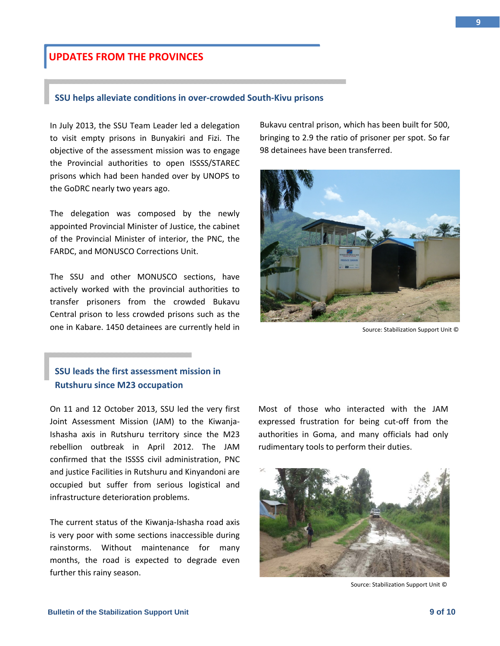#### **Bulletin of the Stabilization Support Unit 10 of 10** of 10

# **UPDATES FROM THE PROVINCES**

#### **SSU helps alleviate conditions in over‐crowded South‐Kivu prisons**

In July 2013, the SSU Team Leader led a delegation to visit empty prisons in Bunyakiri and Fizi. The objective of the assessment mission was to engage the Provincial authorities to open ISSSS/STAREC prisons which had been handed over by UNOPS to the GoDRC nearly two years ago.

The delegation was composed by the newly appointed Provincial Minister of Justice, the cabinet of the Provincial Minister of interior, the PNC, the FARDC, and MONUSCO Corrections Unit.

The SSU and other MONUSCO sections, have actively worked with the provincial authorities to transfer prisoners from the crowded Bukavu Central prison to less crowded prisons such as the one in Kabare. 1450 detainees are currently held in

# **SSU leads the first assessment mission in Rutshuru since M23 occupation**

On 11 and 12 October 2013, SSU led the very first Joint Assessment Mission (JAM) to the Kiwanja‐ Ishasha axis in Rutshuru territory since the M23 rebellion outbreak in April 2012. The JAM confirmed that the ISSSS civil administration, PNC and justice Facilities in Rutshuru and Kinyandoni are occupied but suffer from serious logistical and infrastructure deterioration problems.

The current status of the Kiwanja‐Ishasha road axis is very poor with some sections inaccessible during rainstorms. Without maintenance for many months, the road is expected to degrade even further this rainy season.

Bukavu central prison, which has been built for 500, bringing to 2.9 the ratio of prisoner per spot. So far 98 detainees have been transferred.





Source: Stabilization Support Unit ©



Source: Stabilization Support Unit ©